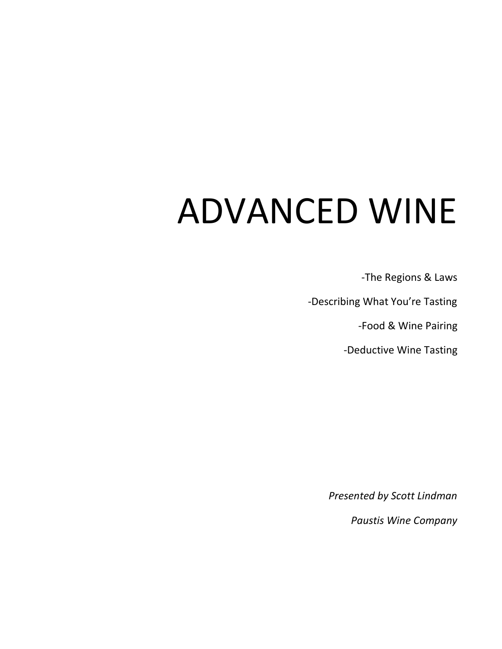# ADVANCED WINE

-The Regions & Laws

-Describing What You're Tasting

-Food & Wine Pairing

-Deductive Wine Tasting

*Presented by Scott Lindman*

*Paustis Wine Company*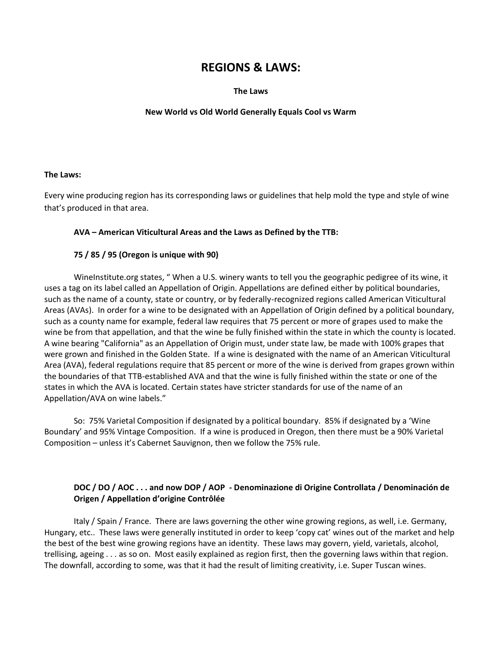## **REGIONS & LAWS:**

#### **The Laws**

#### **New World vs Old World Generally Equals Cool vs Warm**

#### **The Laws:**

Every wine producing region has its corresponding laws or guidelines that help mold the type and style of wine that's produced in that area.

#### **AVA – American Viticultural Areas and the Laws as Defined by the TTB:**

#### **75 / 85 / 95 (Oregon is unique with 90)**

WineInstitute.org states, " When a U.S. winery wants to tell you the geographic pedigree of its wine, it uses a tag on its label called an Appellation of Origin. Appellations are defined either by political boundaries, such as the name of a county, state or country, or by federally-recognized regions called American Viticultural Areas (AVAs). In order for a wine to be designated with an Appellation of Origin defined by a political boundary, such as a county name for example, federal law requires that 75 percent or more of grapes used to make the wine be from that appellation, and that the wine be fully finished within the state in which the county is located. A wine bearing "California" as an Appellation of Origin must, under state law, be made with 100% grapes that were grown and finished in the Golden State. If a wine is designated with the name of an American Viticultural Area (AVA), federal regulations require that 85 percent or more of the wine is derived from grapes grown within the boundaries of that TTB-established AVA and that the wine is fully finished within the state or one of the states in which the AVA is located. Certain states have stricter standards for use of the name of an Appellation/AVA on wine labels."

So: 75% Varietal Composition if designated by a political boundary. 85% if designated by a 'Wine Boundary' and 95% Vintage Composition. If a wine is produced in Oregon, then there must be a 90% Varietal Composition – unless it's Cabernet Sauvignon, then we follow the 75% rule.

### **DOC / DO / AOC . . . and now DOP / AOP - Denominazione di Origine Controllata / Denominación de Origen / Appellation d'origine Contrôlée**

Italy / Spain / France. There are laws governing the other wine growing regions, as well, i.e. Germany, Hungary, etc.. These laws were generally instituted in order to keep 'copy cat' wines out of the market and help the best of the best wine growing regions have an identity. These laws may govern, yield, varietals, alcohol, trellising, ageing . . . as so on. Most easily explained as region first, then the governing laws within that region. The downfall, according to some, was that it had the result of limiting creativity, i.e. Super Tuscan wines.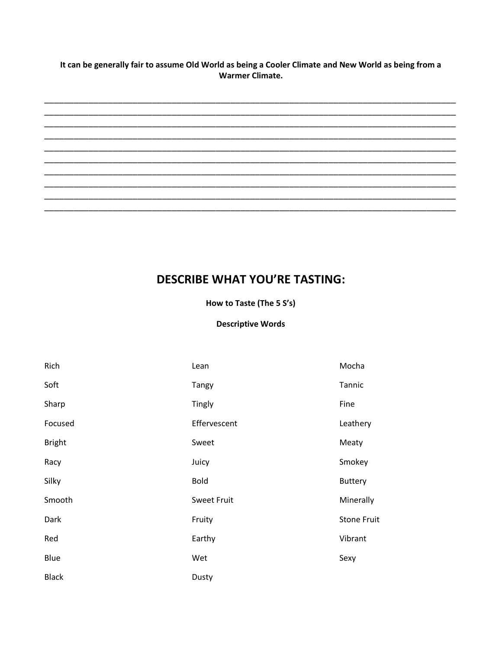It can be generally fair to assume Old World as being a Cooler Climate and New World as being from a **Warmer Climate.** 



## **DESCRIBE WHAT YOU'RE TASTING:**

How to Taste (The 5 S's)

#### **Descriptive Words**

| Rich          | Lean               | Mocha              |
|---------------|--------------------|--------------------|
| Soft          | <b>Tangy</b>       | Tannic             |
| Sharp         | Tingly             | Fine               |
| Focused       | Effervescent       | Leathery           |
| <b>Bright</b> | Sweet              | Meaty              |
| Racy          | Juicy              | Smokey             |
| Silky         | <b>Bold</b>        | <b>Buttery</b>     |
| Smooth        | <b>Sweet Fruit</b> | Minerally          |
| Dark          | Fruity             | <b>Stone Fruit</b> |
| Red           | Earthy             | Vibrant            |
| Blue          | Wet                | Sexy               |
| <b>Black</b>  | Dusty              |                    |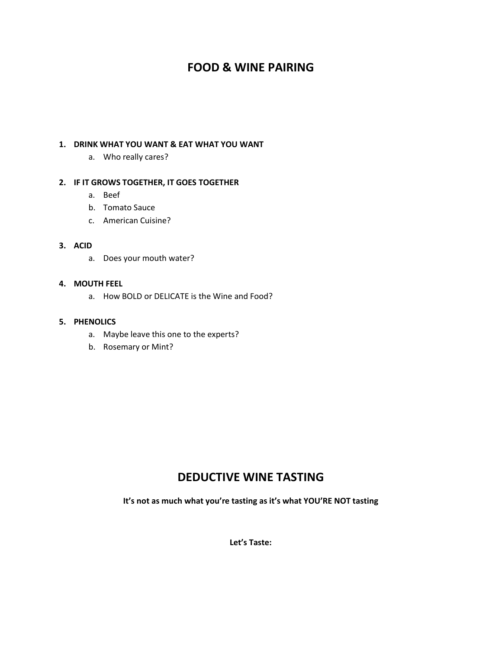## **FOOD & WINE PAIRING**

#### **1. DRINK WHAT YOU WANT & EAT WHAT YOU WANT**

a. Who really cares?

#### **2. IF IT GROWS TOGETHER, IT GOES TOGETHER**

- a. Beef
- b. Tomato Sauce
- c. American Cuisine?

#### **3. ACID**

a. Does your mouth water?

#### **4. MOUTH FEEL**

a. How BOLD or DELICATE is the Wine and Food?

#### **5. PHENOLICS**

- a. Maybe leave this one to the experts?
- b. Rosemary or Mint?

## **DEDUCTIVE WINE TASTING**

**It's not as much what you're tasting as it's what YOU'RE NOT tasting**

**Let's Taste:**